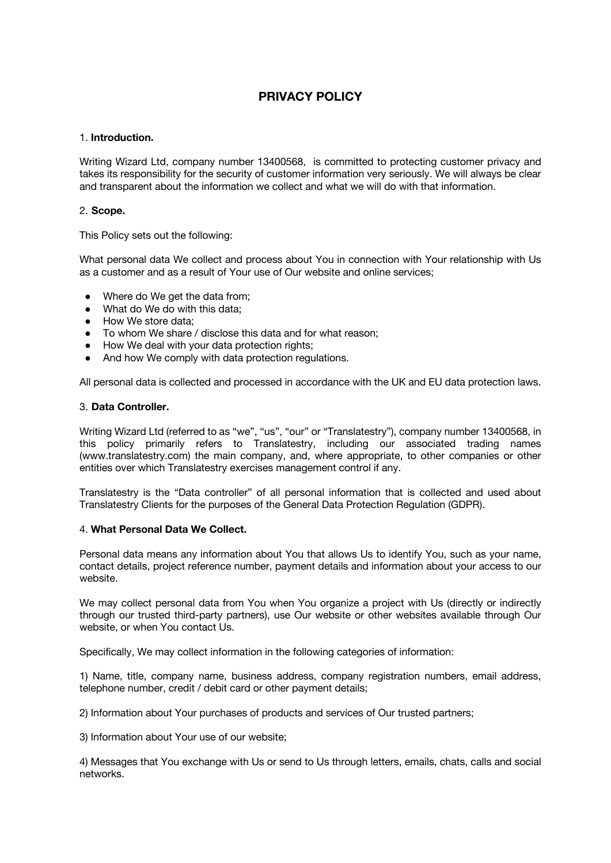# **PRIVACY POLICY**

#### 1. **Introduction.**

Writing Wizard Ltd, company number 13400568, is committed to protecting customer privacy and takes its responsibility for the security of customer information very seriously. We will always be clear and transparent about the information we collect and what we will do with that information.

## 2. **Scope.**

This Policy sets out the following:

What personal data We collect and process about You in connection with Your relationship with Us as a customer and as a result of Your use of Our website and online services;

- Where do We get the data from;
- What do We do with this data;
- How We store data:
- To whom We share / disclose this data and for what reason:
- How We deal with your data protection rights;
- And how We comply with data protection regulations.

All personal data is collected and processed in accordance with the UK and EU data protection laws.

#### 3. **Data Controller.**

Writing Wizard Ltd (referred to as "we", "us", "our" or "Translatestry"), company number 13400568, in this policy primarily refers to Translatestry, including our associated trading names (www.translatestry.com) the main company, and, where appropriate, to other companies or other entities over which Translatestry exercises management control if any.

Translatestry is the "Data controller" of all personal information that is collected and used about Translatestry Clients for the purposes of the General Data Protection Regulation (GDPR).

#### 4. **What Personal Data We Collect.**

Personal data means any information about You that allows Us to identify You, such as your name, contact details, project reference number, payment details and information about your access to our website.

We may collect personal data from You when You organize a project with Us (directly or indirectly through our trusted third-party partners), use Our website or other websites available through Our website, or when You contact Us.

Specifically, We may collect information in the following categories of information:

1) Name, title, company name, business address, company registration numbers, email address, telephone number, credit / debit card or other payment details;

2) Information about Your purchases of products and services of Our trusted partners;

3) Information about Your use of our website;

4) Messages that You exchange with Us or send to Us through letters, emails, chats, calls and social networks.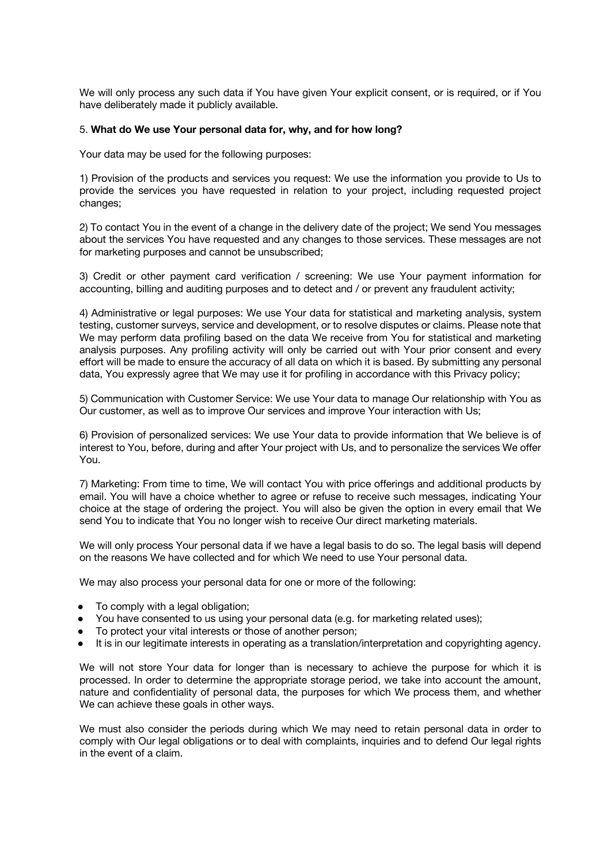We will only process any such data if You have given Your explicit consent, or is required, or if You have deliberately made it publicly available.

#### 5. **What do We use Your personal data for, why, and for how long?**

Your data may be used for the following purposes:

1) Provision of the products and services you request: We use the information you provide to Us to provide the services you have requested in relation to your project, including requested project changes;

2) To contact You in the event of a change in the delivery date of the project; We send You messages about the services You have requested and any changes to those services. These messages are not for marketing purposes and cannot be unsubscribed;

3) Credit or other payment card verification / screening: We use Your payment information for accounting, billing and auditing purposes and to detect and / or prevent any fraudulent activity;

4) Administrative or legal purposes: We use Your data for statistical and marketing analysis, system testing, customer surveys, service and development, or to resolve disputes or claims. Please note that We may perform data profiling based on the data We receive from You for statistical and marketing analysis purposes. Any profiling activity will only be carried out with Your prior consent and every effort will be made to ensure the accuracy of all data on which it is based. By submitting any personal data, You expressly agree that We may use it for profiling in accordance with this Privacy policy;

5) Communication with Customer Service: We use Your data to manage Our relationship with You as Our customer, as well as to improve Our services and improve Your interaction with Us;

6) Provision of personalized services: We use Your data to provide information that We believe is of interest to You, before, during and after Your project with Us, and to personalize the services We offer You.

7) Marketing: From time to time, We will contact You with price offerings and additional products by email. You will have a choice whether to agree or refuse to receive such messages, indicating Your choice at the stage of ordering the project. You will also be given the option in every email that We send You to indicate that You no longer wish to receive Our direct marketing materials.

We will only process Your personal data if we have a legal basis to do so. The legal basis will depend on the reasons We have collected and for which We need to use Your personal data.

We may also process your personal data for one or more of the following:

- To comply with a legal obligation;
- You have consented to us using your personal data (e.g. for marketing related uses);
- To protect your vital interests or those of another person;
- It is in our legitimate interests in operating as a translation/interpretation and copyrighting agency.

We will not store Your data for longer than is necessary to achieve the purpose for which it is processed. In order to determine the appropriate storage period, we take into account the amount, nature and confidentiality of personal data, the purposes for which We process them, and whether We can achieve these goals in other ways.

We must also consider the periods during which We may need to retain personal data in order to comply with Our legal obligations or to deal with complaints, inquiries and to defend Our legal rights in the event of a claim.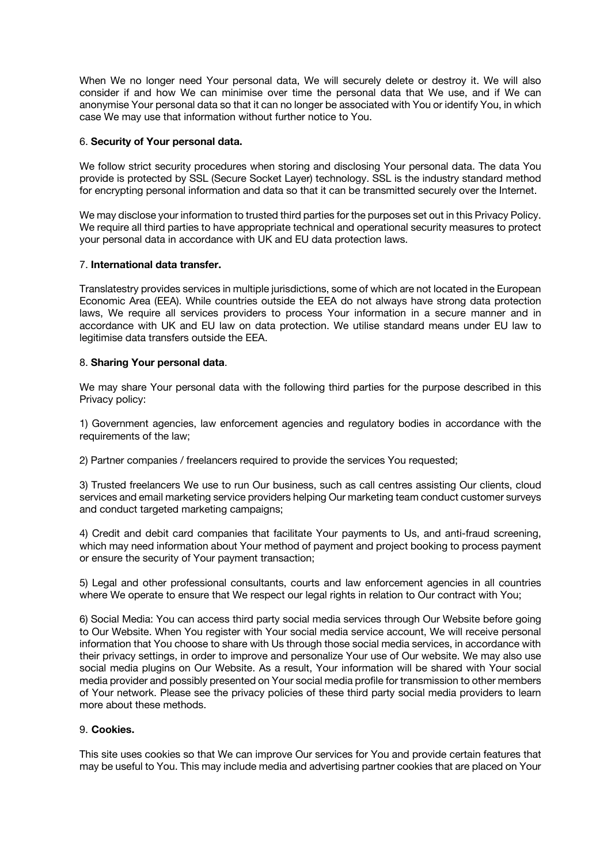When We no longer need Your personal data, We will securely delete or destroy it. We will also consider if and how We can minimise over time the personal data that We use, and if We can anonymise Your personal data so that it can no longer be associated with You or identify You, in which case We may use that information without further notice to You.

## 6. **Security of Your personal data.**

We follow strict security procedures when storing and disclosing Your personal data. The data You provide is protected by SSL (Secure Socket Layer) technology. SSL is the industry standard method for encrypting personal information and data so that it can be transmitted securely over the Internet.

We may disclose your information to trusted third parties for the purposes set out in this Privacy Policy. We require all third parties to have appropriate technical and operational security measures to protect your personal data in accordance with UK and EU data protection laws.

## 7. **International data transfer.**

Translatestry provides services in multiple jurisdictions, some of which are not located in the European Economic Area (EEA). While countries outside the EEA do not always have strong data protection laws, We require all services providers to process Your information in a secure manner and in accordance with UK and EU law on data protection. We utilise standard means under EU law to legitimise data transfers outside the EEA.

## 8. **Sharing Your personal data**.

We may share Your personal data with the following third parties for the purpose described in this Privacy policy:

1) Government agencies, law enforcement agencies and regulatory bodies in accordance with the requirements of the law;

2) Partner companies / freelancers required to provide the services You requested;

3) Trusted freelancers We use to run Our business, such as call centres assisting Our clients, cloud services and email marketing service providers helping Our marketing team conduct customer surveys and conduct targeted marketing campaigns;

4) Credit and debit card companies that facilitate Your payments to Us, and anti-fraud screening, which may need information about Your method of payment and project booking to process payment or ensure the security of Your payment transaction;

5) Legal and other professional consultants, courts and law enforcement agencies in all countries where We operate to ensure that We respect our legal rights in relation to Our contract with You;

6) Social Media: You can access third party social media services through Our Website before going to Our Website. When You register with Your social media service account, We will receive personal information that You choose to share with Us through those social media services, in accordance with their privacy settings, in order to improve and personalize Your use of Our website. We may also use social media plugins on Our Website. As a result, Your information will be shared with Your social media provider and possibly presented on Your social media profile for transmission to other members of Your network. Please see the privacy policies of these third party social media providers to learn more about these methods.

## 9. **Cookies.**

This site uses cookies so that We can improve Our services for You and provide certain features that may be useful to You. This may include media and advertising partner cookies that are placed on Your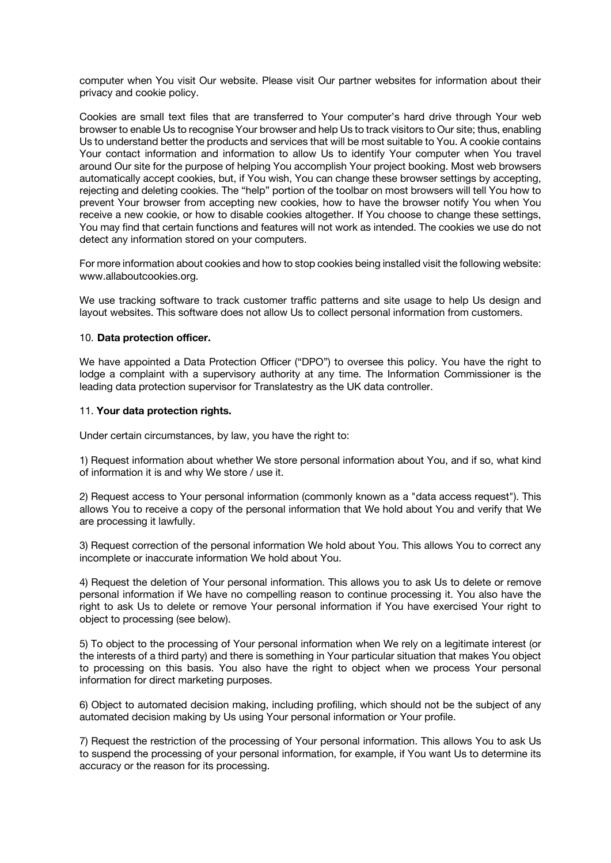computer when You visit Our website. Please visit Our partner websites for information about their privacy and cookie policy.

Cookies are small text files that are transferred to Your computer's hard drive through Your web browser to enable Us to recognise Your browser and help Us to track visitors to Our site; thus, enabling Us to understand better the products and services that will be most suitable to You. A cookie contains Your contact information and information to allow Us to identify Your computer when You travel around Our site for the purpose of helping You accomplish Your project booking. Most web browsers automatically accept cookies, but, if You wish, You can change these browser settings by accepting, rejecting and deleting cookies. The "help" portion of the toolbar on most browsers will tell You how to prevent Your browser from accepting new cookies, how to have the browser notify You when You receive a new cookie, or how to disable cookies altogether. If You choose to change these settings, You may find that certain functions and features will not work as intended. The cookies we use do not detect any information stored on your computers.

For more information about cookies and how to stop cookies being installed visit the following website: www.allaboutcookies.org.

We use tracking software to track customer traffic patterns and site usage to help Us design and layout websites. This software does not allow Us to collect personal information from customers.

#### 10. **Data protection officer.**

We have appointed a Data Protection Officer ("DPO") to oversee this policy. You have the right to lodge a complaint with a supervisory authority at any time. The Information Commissioner is the leading data protection supervisor for Translatestry as the UK data controller.

#### 11. **Your data protection rights.**

Under certain circumstances, by law, you have the right to:

1) Request information about whether We store personal information about You, and if so, what kind of information it is and why We store / use it.

2) Request access to Your personal information (commonly known as a "data access request"). This allows You to receive a copy of the personal information that We hold about You and verify that We are processing it lawfully.

3) Request correction of the personal information We hold about You. This allows You to correct any incomplete or inaccurate information We hold about You.

4) Request the deletion of Your personal information. This allows you to ask Us to delete or remove personal information if We have no compelling reason to continue processing it. You also have the right to ask Us to delete or remove Your personal information if You have exercised Your right to object to processing (see below).

5) To object to the processing of Your personal information when We rely on a legitimate interest (or the interests of a third party) and there is something in Your particular situation that makes You object to processing on this basis. You also have the right to object when we process Your personal information for direct marketing purposes.

6) Object to automated decision making, including profiling, which should not be the subject of any automated decision making by Us using Your personal information or Your profile.

7) Request the restriction of the processing of Your personal information. This allows You to ask Us to suspend the processing of your personal information, for example, if You want Us to determine its accuracy or the reason for its processing.